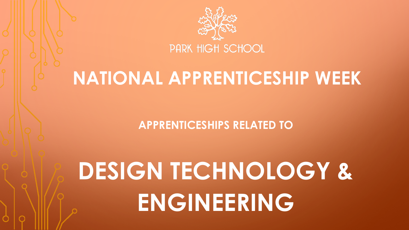

## **NATIONAL APPRENTICESHIP WEEK**

**APPRENTICESHIPS RELATED TO** 

# **DESIGN TECHNOLOGY & ENGINEERING**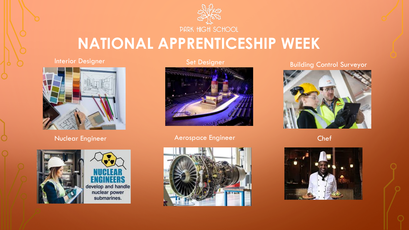

### **NATIONAL APPRENTICESHIP WEEK**

#### Interior Designer



Nuclear Engineer





Set Designer



#### Aerospace Engineer



Building Control Surveyor



Chef

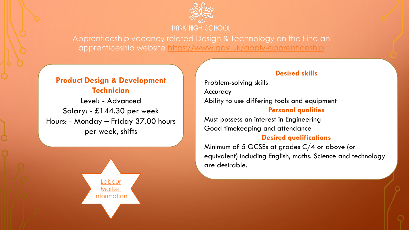

Apprenticeship vacancy related Design & Technology on the Find an apprenticeship website <https://www.gov.uk/apply-apprenticeship>

#### **Product Design & Development Technician**

Level: - Advanced Salary: - £144.30 per week Hours: - Monday – Friday 37.00 hours per week, shifts



#### **Desired skills**

Problem-solving skills Accuracy Ability to use differing tools and equipment **Personal qualities**

Must possess an interest in Engineering Good timekeeping and attendance

#### **Desired qualifications**

Minimum of 5 GCSEs at grades C/4 or above (or equivalent) including English, maths. Science and technology are desirable.